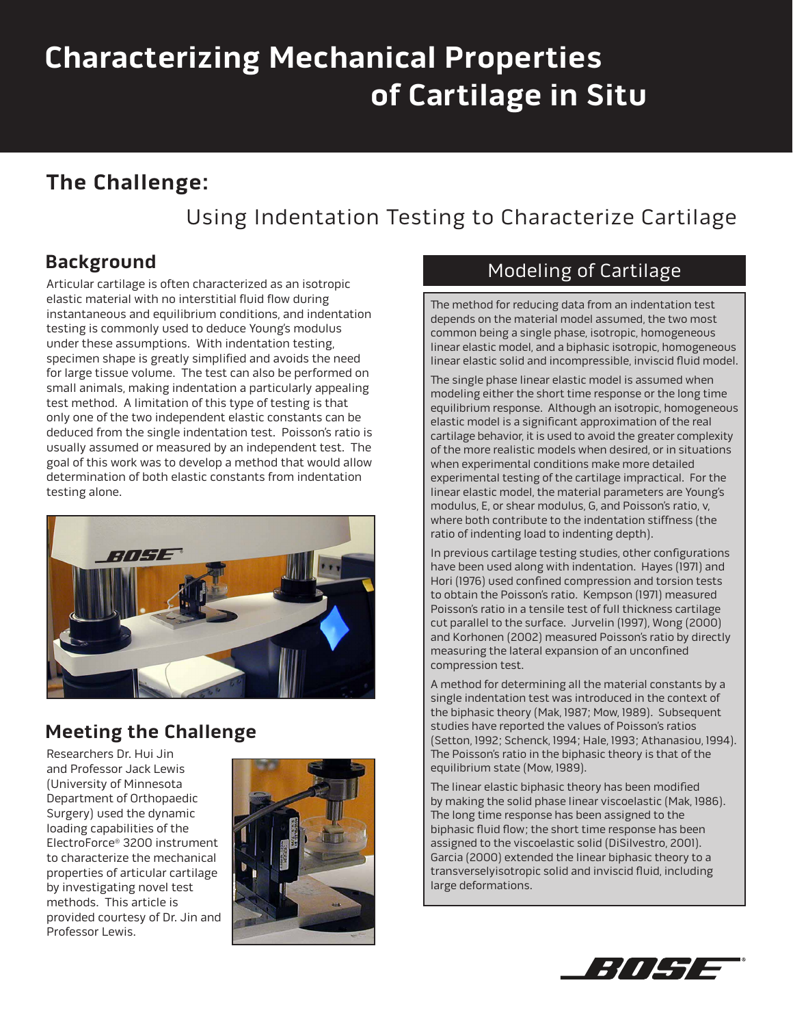# **Characterizing Mechanical Properties of Cartilage in Situ**

## **The Challenge:**

# Using Indentation Testing to Characterize Cartilage

## **Background**

Articular cartilage is often characterized as an isotropic elastic material with no interstitial fluid flow during instantaneous and equilibrium conditions, and indentation testing is commonly used to deduce Young's modulus under these assumptions. With indentation testing, specimen shape is greatly simplified and avoids the need for large tissue volume. The test can also be performed on small animals, making indentation a particularly appealing test method. A limitation of this type of testing is that only one of the two independent elastic constants can be deduced from the single indentation test. Poisson's ratio is usually assumed or measured by an independent test. The goal of this work was to develop a method that would allow determination of both elastic constants from indentation testing alone.



## **Meeting the Challenge**

Researchers Dr. Hui Jin and Professor Jack Lewis (University of Minnesota Department of Orthopaedic Surgery) used the dynamic loading capabilities of the ElectroForce® 3200 instrument to characterize the mechanical properties of articular cartilage by investigating novel test methods. This article is provided courtesy of Dr. Jin and Professor Lewis.



### Modeling of Cartilage

The method for reducing data from an indentation test depends on the material model assumed, the two most common being a single phase, isotropic, homogeneous linear elastic model, and a biphasic isotropic, homogeneous linear elastic solid and incompressible, inviscid fluid model.

The single phase linear elastic model is assumed when modeling either the short time response or the long time equilibrium response. Although an isotropic, homogeneous elastic model is a significant approximation of the real cartilage behavior, it is used to avoid the greater complexity of the more realistic models when desired, or in situations when experimental conditions make more detailed experimental testing of the cartilage impractical. For the linear elastic model, the material parameters are Young's modulus, E, or shear modulus, G, and Poisson's ratio, v, where both contribute to the indentation stiffness (the ratio of indenting load to indenting depth).

In previous cartilage testing studies, other configurations have been used along with indentation. Hayes (1971) and Hori (1976) used confined compression and torsion tests to obtain the Poisson's ratio. Kempson (1971) measured Poisson's ratio in a tensile test of full thickness cartilage cut parallel to the surface. Jurvelin (1997), Wong (2000) and Korhonen (2002) measured Poisson's ratio by directly measuring the lateral expansion of an unconfined compression test.

A method for determining all the material constants by a single indentation test was introduced in the context of the biphasic theory (Mak, 1987; Mow, 1989). Subsequent studies have reported the values of Poisson's ratios (Setton, 1992; Schenck, 1994; Hale, 1993; Athanasiou, 1994). The Poisson's ratio in the biphasic theory is that of the equilibrium state (Mow, 1989).

The linear elastic biphasic theory has been modified by making the solid phase linear viscoelastic (Mak, 1986). The long time response has been assigned to the biphasic fluid flow; the short time response has been assigned to the viscoelastic solid (DiSilvestro, 2001). Garcia (2000) extended the linear biphasic theory to a transverselyisotropic solid and inviscid fluid, including large deformations.